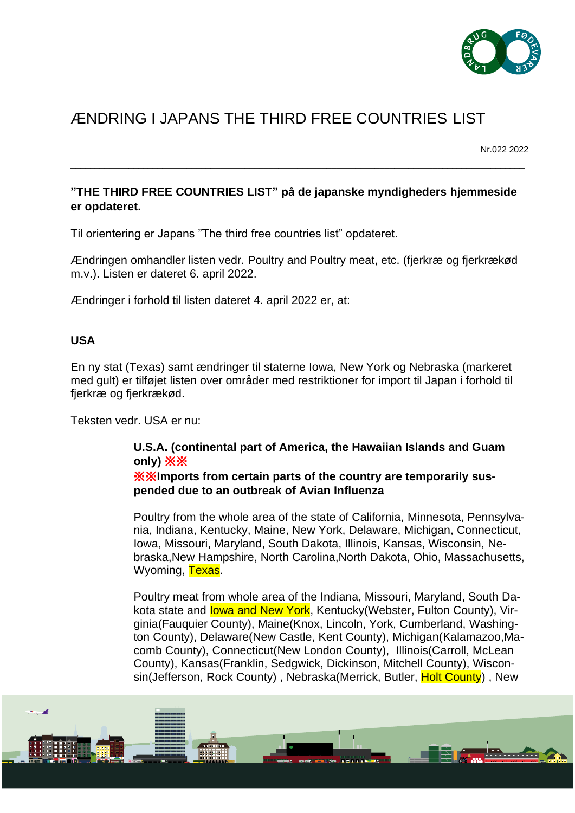

# ÆNDRING I JAPANS THE THIRD FREE COUNTRIES LIST

Nr.022 2022

## **"THE THIRD FREE COUNTRIES LIST" på de japanske myndigheders hjemmeside er opdateret.**

\_\_\_\_\_\_\_\_\_\_\_\_\_\_\_\_\_\_\_\_\_\_\_\_\_\_\_\_\_\_\_\_\_\_\_\_\_\_\_\_\_\_\_\_\_\_\_\_\_\_\_\_\_\_\_\_\_\_\_\_\_\_\_\_\_\_\_\_\_\_\_\_\_\_\_\_\_\_\_\_\_\_\_\_\_\_\_\_\_\_\_\_\_\_

Til orientering er Japans "The third free countries list" opdateret.

Ændringen omhandler listen vedr. Poultry and Poultry meat, etc. (fjerkræ og fjerkrækød m.v.). Listen er dateret 6. april 2022.

Ændringer i forhold til listen dateret 4. april 2022 er, at:

### **USA**

En ny stat (Texas) samt ændringer til staterne Iowa, New York og Nebraska (markeret med gult) er tilføjet listen over områder med restriktioner for import til Japan i forhold til fjerkræ og fjerkrækød.

Teksten vedr. USA er nu:

#### **U.S.A. (continental part of America, the Hawaiian Islands and Guam only)** ※※ ※※**Imports from certain parts of the country are temporarily suspended due to an outbreak of Avian Influenza**

Poultry from the whole area of the state of California, Minnesota, Pennsylvania, Indiana, Kentucky, Maine, New York, Delaware, Michigan, Connecticut, Iowa, Missouri, Maryland, South Dakota, Illinois, Kansas, Wisconsin, Nebraska,New Hampshire, North Carolina,North Dakota, Ohio, Massachusetts, Wyoming, Texas.

Poultry meat from whole area of the Indiana, Missouri, Maryland, South Dakota state and lowa and New York, Kentucky (Webster, Fulton County), Virginia(Fauquier County), Maine(Knox, Lincoln, York, Cumberland, Washington County), Delaware(New Castle, Kent County), Michigan(Kalamazoo,Macomb County), Connecticut(New London County), Illinois(Carroll, McLean County), Kansas(Franklin, Sedgwick, Dickinson, Mitchell County), Wisconsin(Jefferson, Rock County), Nebraska(Merrick, Butler, Holt County), New